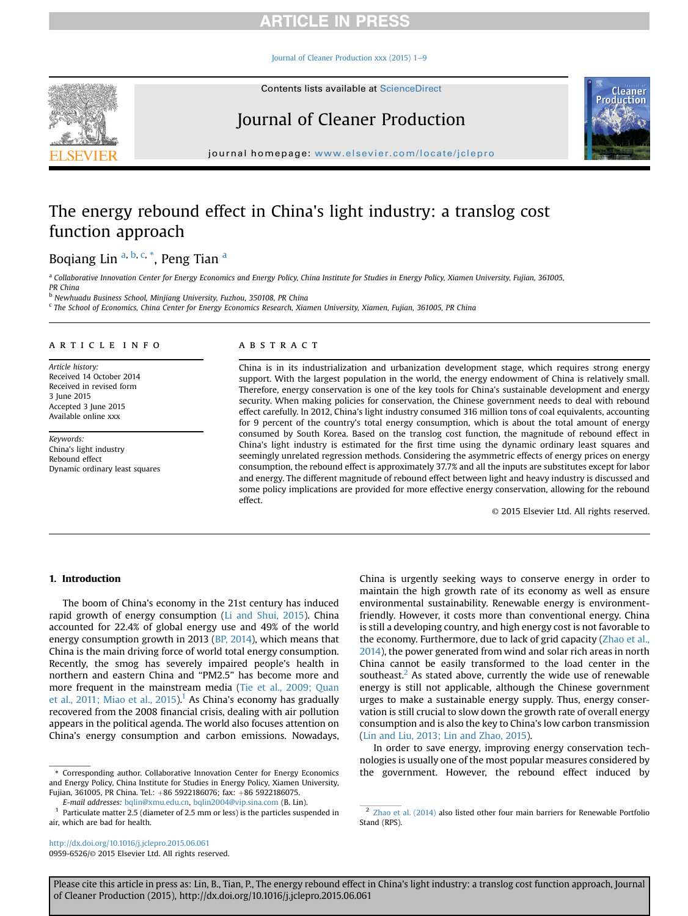## **RTICLE IN PRESS**

#### Iournal of Cleaner Production xxx (2015) 1-[9](http://dx.doi.org/10.1016/j.jclepro.2015.06.061)



<span id="page-0-0"></span>

# Journal of Cleaner Production



journal homepage: [www.elsevier.com/locate/jclepro](http://www.elsevier.com/locate/jclepro)

# The energy rebound effect in China's light industry: a translog cost function approach

Boqiang Lin <sup>a, b, c, \*</sup>, Peng Tian <sup>a</sup>

a Collaborative Innovation Center for Energy Economics and Energy Policy, China Institute for Studies in Energy Policy, Xiamen University, Fujian, 361005, PR China

<sup>b</sup> Newhuadu Business School, Minjiang University, Fuzhou, 350108, PR China

<sup>c</sup> The School of Economics, China Center for Energy Economics Research, Xiamen University, Xiamen, Fujian, 361005, PR China

#### article info

Article history: Received 14 October 2014 Received in revised form 3 June 2015 Accepted 3 June 2015 Available online xxx

Keywords: China's light industry Rebound effect Dynamic ordinary least squares

## ABSTRACT

China is in its industrialization and urbanization development stage, which requires strong energy support. With the largest population in the world, the energy endowment of China is relatively small. Therefore, energy conservation is one of the key tools for China's sustainable development and energy security. When making policies for conservation, the Chinese government needs to deal with rebound effect carefully. In 2012, China's light industry consumed 316 million tons of coal equivalents, accounting for 9 percent of the country's total energy consumption, which is about the total amount of energy consumed by South Korea. Based on the translog cost function, the magnitude of rebound effect in China's light industry is estimated for the first time using the dynamic ordinary least squares and seemingly unrelated regression methods. Considering the asymmetric effects of energy prices on energy consumption, the rebound effect is approximately 37.7% and all the inputs are substitutes except for labor and energy. The different magnitude of rebound effect between light and heavy industry is discussed and some policy implications are provided for more effective energy conservation, allowing for the rebound effect.

© 2015 Elsevier Ltd. All rights reserved.

### 1. Introduction

The boom of China's economy in the 21st century has induced rapid growth of energy consumption ([Li and Shui, 2015](#page--1-0)). China accounted for 22.4% of global energy use and 49% of the world energy consumption growth in 2013 [\(BP, 2014\)](#page--1-0), which means that China is the main driving force of world total energy consumption. Recently, the smog has severely impaired people's health in northern and eastern China and "PM2.5" has become more and more frequent in the mainstream media ([Tie et al., 2009; Quan](#page--1-0) [et al., 2011; Miao et al., 2015\)](#page--1-0).<sup>1</sup> As China's economy has gradually recovered from the 2008 financial crisis, dealing with air pollution appears in the political agenda. The world also focuses attention on China's energy consumption and carbon emissions. Nowadays,

<http://dx.doi.org/10.1016/j.jclepro.2015.06.061> 0959-6526/© 2015 Elsevier Ltd. All rights reserved. China is urgently seeking ways to conserve energy in order to maintain the high growth rate of its economy as well as ensure environmental sustainability. Renewable energy is environmentfriendly. However, it costs more than conventional energy. China is still a developing country, and high energy cost is not favorable to the economy. Furthermore, due to lack of grid capacity ([Zhao et al.,](#page--1-0) [2014\)](#page--1-0), the power generated from wind and solar rich areas in north China cannot be easily transformed to the load center in the southeast. $<sup>2</sup>$  As stated above, currently the wide use of renewable</sup> energy is still not applicable, although the Chinese government urges to make a sustainable energy supply. Thus, energy conservation is still crucial to slow down the growth rate of overall energy consumption and is also the key to China's low carbon transmission ([Lin and Liu, 2013; Lin and Zhao, 2015](#page--1-0)).

In order to save energy, improving energy conservation technologies is usually one of the most popular measures considered by \* Corresponding author. Collaborative Innovation Center for Energy Economics the government. However, the rebound effect induced by

Please cite this article in press as: Lin, B., Tian, P., The energy rebound effect in China's light industry: a translog cost function approach, Journal of Cleaner Production (2015), http://dx.doi.org/10.1016/j.jclepro.2015.06.061

and Energy Policy, China Institute for Studies in Energy Policy, Xiamen University, Fujian, 361005, PR China. Tel.: +86 5922186076; fax: +86 5922186075.

E-mail addresses: [bqlin@xmu.edu.cn,](mailto:bqlin@xmu.edu.cn) [bqlin2004@vip.sina.com](mailto:bqlin2004@vip.sina.com) (B. Lin).

Particulate matter 2.5 (diameter of 2.5 mm or less) is the particles suspended in air, which are bad for health.

<sup>2</sup> [Zhao et al. \(2014\)](#page--1-0) also listed other four main barriers for Renewable Portfolio Stand (RPS).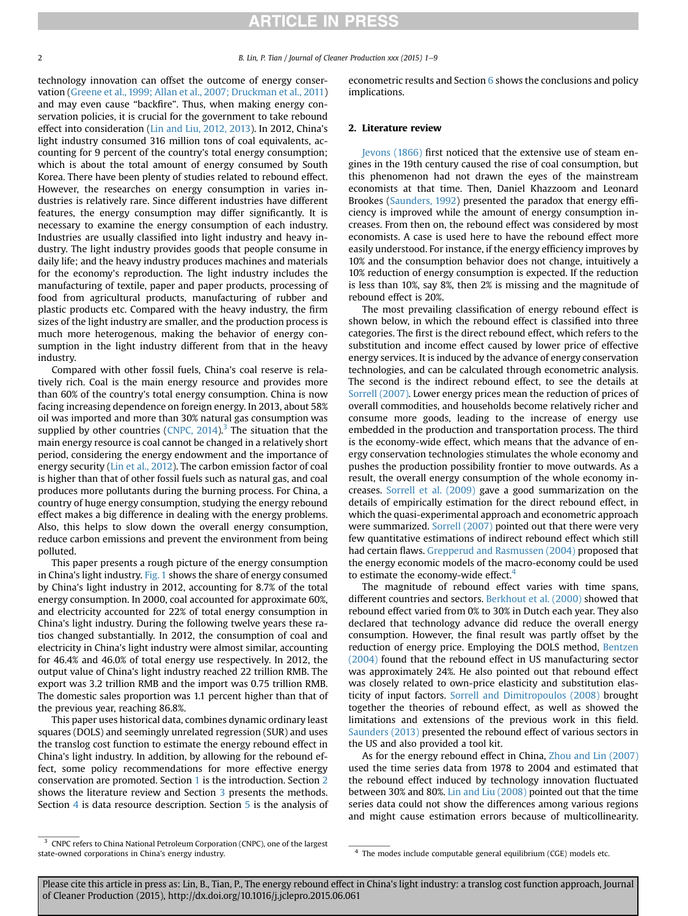# **ARTICLE IN PRESS**

2 B. Lin, P. Tian / Journal of Cleaner Production xxx (2015) 1–9

technology innovation can offset the outcome of energy conservation [\(Greene et al., 1999; Allan et al., 2007; Druckman et al., 2011\)](#page--1-0) and may even cause "backfire". Thus, when making energy conservation policies, it is crucial for the government to take rebound effect into consideration [\(Lin and Liu, 2012, 2013](#page--1-0)). In 2012, China's light industry consumed 316 million tons of coal equivalents, accounting for 9 percent of the country's total energy consumption; which is about the total amount of energy consumed by South Korea. There have been plenty of studies related to rebound effect. However, the researches on energy consumption in varies industries is relatively rare. Since different industries have different features, the energy consumption may differ significantly. It is necessary to examine the energy consumption of each industry. Industries are usually classified into light industry and heavy industry. The light industry provides goods that people consume in daily life; and the heavy industry produces machines and materials for the economy's reproduction. The light industry includes the manufacturing of textile, paper and paper products, processing of food from agricultural products, manufacturing of rubber and plastic products etc. Compared with the heavy industry, the firm sizes of the light industry are smaller, and the production process is much more heterogenous, making the behavior of energy consumption in the light industry different from that in the heavy industry.

Compared with other fossil fuels, China's coal reserve is relatively rich. Coal is the main energy resource and provides more than 60% of the country's total energy consumption. China is now facing increasing dependence on foreign energy. In 2013, about 58% oil was imported and more than 30% natural gas consumption was supplied by other countries (CNPC,  $2014$ ).<sup>3</sup> The situation that the main energy resource is coal cannot be changed in a relatively short period, considering the energy endowment and the importance of energy security ([Lin et al., 2012](#page--1-0)). The carbon emission factor of coal is higher than that of other fossil fuels such as natural gas, and coal produces more pollutants during the burning process. For China, a country of huge energy consumption, studying the energy rebound effect makes a big difference in dealing with the energy problems. Also, this helps to slow down the overall energy consumption, reduce carbon emissions and prevent the environment from being polluted.

This paper presents a rough picture of the energy consumption in China's light industry. [Fig. 1](#page--1-0) shows the share of energy consumed by China's light industry in 2012, accounting for 8.7% of the total energy consumption. In 2000, coal accounted for approximate 60%, and electricity accounted for 22% of total energy consumption in China's light industry. During the following twelve years these ratios changed substantially. In 2012, the consumption of coal and electricity in China's light industry were almost similar, accounting for 46.4% and 46.0% of total energy use respectively. In 2012, the output value of China's light industry reached 22 trillion RMB. The export was 3.2 trillion RMB and the import was 0.75 trillion RMB. The domestic sales proportion was 1.1 percent higher than that of the previous year, reaching 86.8%.

This paper uses historical data, combines dynamic ordinary least squares (DOLS) and seemingly unrelated regression (SUR) and uses the translog cost function to estimate the energy rebound effect in China's light industry. In addition, by allowing for the rebound effect, some policy recommendations for more effective energy conservation are promoted. Section [1](#page-0-0) is the introduction. Section 2 shows the literature review and Section [3](#page--1-0) presents the methods. Section [4](#page--1-0) is data resource description. Section [5](#page--1-0) is the analysis of econometric results and Section [6](#page--1-0) shows the conclusions and policy implications.

### 2. Literature review

[Jevons \(1866\)](#page--1-0) first noticed that the extensive use of steam engines in the 19th century caused the rise of coal consumption, but this phenomenon had not drawn the eyes of the mainstream economists at that time. Then, Daniel Khazzoom and Leonard Brookes ([Saunders, 1992](#page--1-0)) presented the paradox that energy efficiency is improved while the amount of energy consumption increases. From then on, the rebound effect was considered by most economists. A case is used here to have the rebound effect more easily understood. For instance, if the energy efficiency improves by 10% and the consumption behavior does not change, intuitively a 10% reduction of energy consumption is expected. If the reduction is less than 10%, say 8%, then 2% is missing and the magnitude of rebound effect is 20%.

The most prevailing classification of energy rebound effect is shown below, in which the rebound effect is classified into three categories. The first is the direct rebound effect, which refers to the substitution and income effect caused by lower price of effective energy services. It is induced by the advance of energy conservation technologies, and can be calculated through econometric analysis. The second is the indirect rebound effect, to see the details at [Sorrell \(2007\).](#page--1-0) Lower energy prices mean the reduction of prices of overall commodities, and households become relatively richer and consume more goods, leading to the increase of energy use embedded in the production and transportation process. The third is the economy-wide effect, which means that the advance of energy conservation technologies stimulates the whole economy and pushes the production possibility frontier to move outwards. As a result, the overall energy consumption of the whole economy increases. [Sorrell et al. \(2009\)](#page--1-0) gave a good summarization on the details of empirically estimation for the direct rebound effect, in which the quasi-experimental approach and econometric approach were summarized. [Sorrell \(2007\)](#page--1-0) pointed out that there were very few quantitative estimations of indirect rebound effect which still had certain flaws. [Grepperud and Rasmussen \(2004\)](#page--1-0) proposed that the energy economic models of the macro-economy could be used to estimate the economy-wide effect.<sup>4</sup>

The magnitude of rebound effect varies with time spans, different countries and sectors. [Berkhout et al. \(2000\)](#page--1-0) showed that rebound effect varied from 0% to 30% in Dutch each year. They also declared that technology advance did reduce the overall energy consumption. However, the final result was partly offset by the reduction of energy price. Employing the DOLS method, [Bentzen](#page--1-0) [\(2004\)](#page--1-0) found that the rebound effect in US manufacturing sector was approximately 24%. He also pointed out that rebound effect was closely related to own-price elasticity and substitution elasticity of input factors. [Sorrell and Dimitropoulos \(2008\)](#page--1-0) brought together the theories of rebound effect, as well as showed the limitations and extensions of the previous work in this field. [Saunders \(2013\)](#page--1-0) presented the rebound effect of various sectors in the US and also provided a tool kit.

As for the energy rebound effect in China, [Zhou and Lin \(2007\)](#page--1-0) used the time series data from 1978 to 2004 and estimated that the rebound effect induced by technology innovation fluctuated between 30% and 80%. [Lin and Liu \(2008\)](#page--1-0) pointed out that the time series data could not show the differences among various regions and might cause estimation errors because of multicollinearity.

Please cite this article in press as: Lin, B., Tian, P., The energy rebound effect in China's light industry: a translog cost function approach, Journal of Cleaner Production (2015), http://dx.doi.org/10.1016/j.jclepro.2015.06.061

<sup>&</sup>lt;sup>3</sup> CNPC refers to China National Petroleum Corporation (CNPC), one of the largest state-owned corporations in China's energy industry. The modes include computable general equilibrium (CGE) models etc.